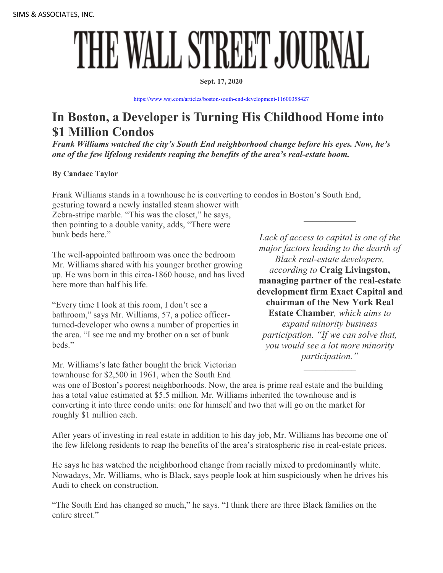## THE WALL STREET JOURNAL

## **Sept. 17, 2020**

<https://www.wsj.com/articles/boston-south-end-development-11600358427>

## **In Boston, a Developer is Turning His Childhood Home into \$1 Million Condos**

*Frank Williams watched the city's South End neighborhood change before his eyes. Now, he's one of the few lifelong residents reaping the benefits of the area's real-estate boom.* 

**By Candace Taylor**

Frank Williams stands in a townhouse he is converting to condos in Boston's South End,

gesturing toward a newly installed steam shower with Zebra-stripe marble. "This was the closet," he says, then pointing to a double vanity, adds, "There were bunk beds here."

The well-appointed bathroom was once the bedroom Mr. Williams shared with his younger brother growing up. He was born in this circa-1860 house, and has lived here more than half his life.

"Every time I look at this room, I don't see a bathroom," says Mr. Williams, 57, a police officerturned-developer who owns a number of properties in the area. "I see me and my brother on a set of bunk beds."

Mr. Williams's late father bought the brick Victorian townhouse for \$2,500 in 1961, when the South End

*Lack of access to capital is one of the major factors leading to the dearth of Black real-estate developers, according to* **Craig Livingston, managing partner of the real-estate development firm Exact Capital and chairman of the New York Real Estate Chamber***, which aims to expand minority business participation. "If we can solve that, you would see a lot more minority participation."*

**\_\_\_\_\_\_\_\_\_\_\_\_** 

**\_\_\_\_\_\_\_\_\_\_\_\_**

was one of Boston's poorest neighborhoods. Now, the area is prime real estate and the building has a total value estimated at \$5.5 million. Mr. Williams inherited the townhouse and is converting it into three condo units: one for himself and two that will go on the market for roughly \$1 million each.

After years of investing in real estate in addition to his day job, Mr. Williams has become one of the few lifelong residents to reap the benefits of the area's stratospheric rise in real-estate prices.

He says he has watched the neighborhood change from racially mixed to predominantly white. Nowadays, Mr. Williams, who is Black, says people look at him suspiciously when he drives his Audi to check on construction.

"The South End has changed so much," he says. "I think there are three Black families on the entire street."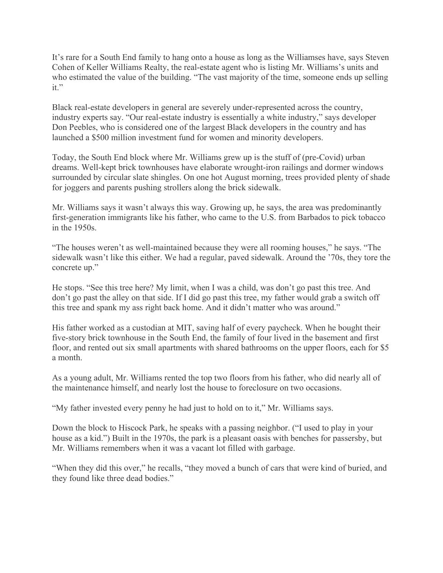It's rare for a South End family to hang onto a house as long as the Williamses have, says Steven Cohen of Keller Williams Realty, the real-estate agent who is listing Mr. Williams's units and who estimated the value of the building. "The vast majority of the time, someone ends up selling it."

Black real-estate developers in general are severely under-represented across the country, industry experts say. "Our real-estate industry is essentially a white industry," says developer Don Peebles, who is considered one of the largest Black developers in the country and has launched a \$500 million investment fund for women and minority developers.

Today, the South End block where Mr. Williams grew up is the stuff of (pre-Covid) urban dreams. Well-kept brick townhouses have elaborate wrought-iron railings and dormer windows surrounded by circular slate shingles. On one hot August morning, trees provided plenty of shade for joggers and parents pushing strollers along the brick sidewalk.

Mr. Williams says it wasn't always this way. Growing up, he says, the area was predominantly first-generation immigrants like his father, who came to the U.S. from Barbados to pick tobacco in the 1950s.

"The houses weren't as well-maintained because they were all rooming houses," he says. "The sidewalk wasn't like this either. We had a regular, paved sidewalk. Around the '70s, they tore the concrete up."

He stops. "See this tree here? My limit, when I was a child, was don't go past this tree. And don't go past the alley on that side. If I did go past this tree, my father would grab a switch off this tree and spank my ass right back home. And it didn't matter who was around."

His father worked as a custodian at MIT, saving half of every paycheck. When he bought their five-story brick townhouse in the South End, the family of four lived in the basement and first floor, and rented out six small apartments with shared bathrooms on the upper floors, each for \$5 a month.

As a young adult, Mr. Williams rented the top two floors from his father, who did nearly all of the maintenance himself, and nearly lost the house to foreclosure on two occasions.

"My father invested every penny he had just to hold on to it," Mr. Williams says.

Down the block to Hiscock Park, he speaks with a passing neighbor. ("I used to play in your house as a kid.") Built in the 1970s, the park is a pleasant oasis with benches for passersby, but Mr. Williams remembers when it was a vacant lot filled with garbage.

"When they did this over," he recalls, "they moved a bunch of cars that were kind of buried, and they found like three dead bodies."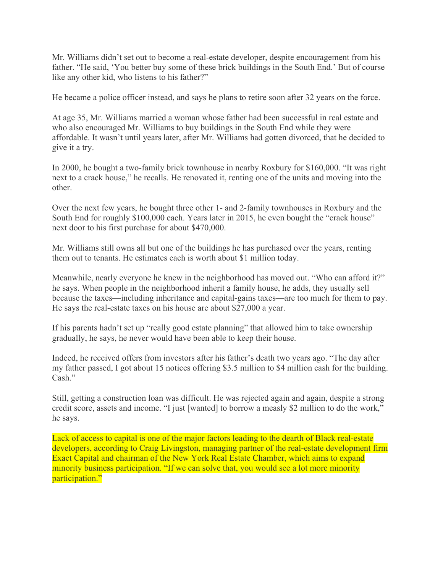Mr. Williams didn't set out to become a real-estate developer, despite encouragement from his father. "He said, 'You better buy some of these brick buildings in the South End.' But of course like any other kid, who listens to his father?"

He became a police officer instead, and says he plans to retire soon after 32 years on the force.

At age 35, Mr. Williams married a woman whose father had been successful in real estate and who also encouraged Mr. Williams to buy buildings in the South End while they were affordable. It wasn't until years later, after Mr. Williams had gotten divorced, that he decided to give it a try.

In 2000, he bought a two-family brick townhouse in nearby Roxbury for \$160,000. "It was right next to a crack house," he recalls. He renovated it, renting one of the units and moving into the other.

Over the next few years, he bought three other 1- and 2-family townhouses in Roxbury and the South End for roughly \$100,000 each. Years later in 2015, he even bought the "crack house" next door to his first purchase for about \$470,000.

Mr. Williams still owns all but one of the buildings he has purchased over the years, renting them out to tenants. He estimates each is worth about \$1 million today.

Meanwhile, nearly everyone he knew in the neighborhood has moved out. "Who can afford it?" he says. When people in the neighborhood inherit a family house, he adds, they usually sell because the taxes—including inheritance and capital-gains taxes—are too much for them to pay. He says the real-estate taxes on his house are about \$27,000 a year.

If his parents hadn't set up "really good estate planning" that allowed him to take ownership gradually, he says, he never would have been able to keep their house.

Indeed, he received offers from investors after his father's death two years ago. "The day after my father passed, I got about 15 notices offering \$3.5 million to \$4 million cash for the building. Cash."

Still, getting a construction loan was difficult. He was rejected again and again, despite a strong credit score, assets and income. "I just [wanted] to borrow a measly \$2 million to do the work," he says.

Lack of access to capital is one of the major factors leading to the dearth of Black real-estate developers, according to Craig Livingston, managing partner of the real-estate development firm Exact Capital and chairman of the New York Real Estate Chamber, which aims to expand minority business participation. "If we can solve that, you would see a lot more minority participation."